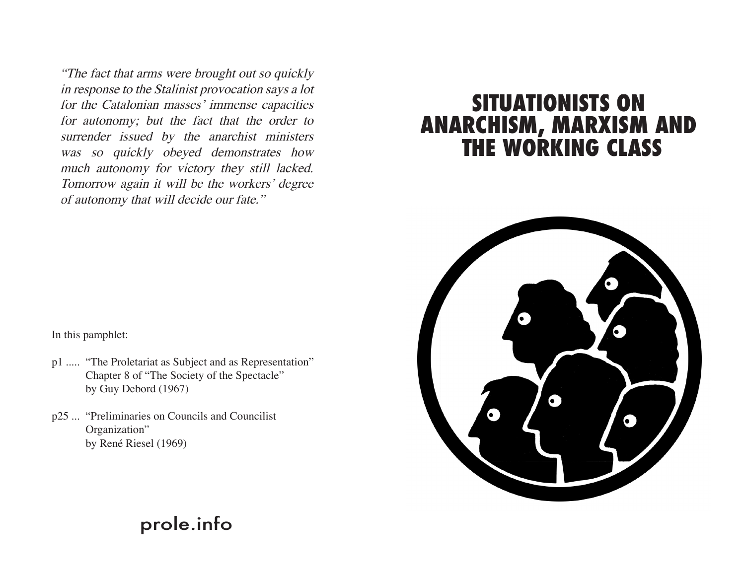"The fact that arms were brought out so quickly in response to the Stalinist provocation says a lot for the Catalonian masses' immense capacities for autonomy; but the fact that the order to surrender issued by the anarchist ministers was so quickly obeyed demonstrates how much autonomy for victory they still lacked. Tomorrow again it will be the workers' degree of autonomy that will decide our fate."

# **ANARCHISM, MARXISM AND THE WORKING CLASS SITUATIONISTS ON**



In this pamphlet:

- p1 ..... "The Proletariat as Subject and as Representation" Chapter 8 of "The Society of the Spectacle" by Guy Debord (1967)
- p25 ... "Preliminaries on Councils and Councilist Organization" by René Riesel (1969)

## prole.info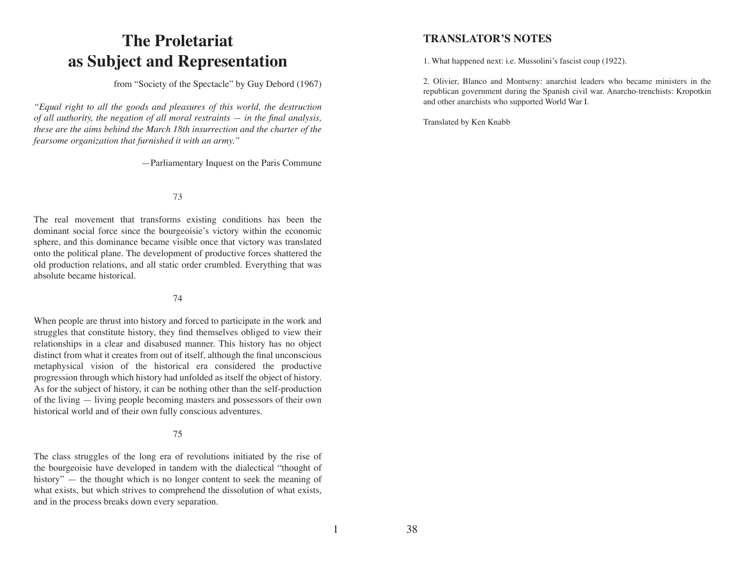### **The Proletariat as Subject and Representation**

from "Society of the Spectacle" by Guy Debord (1967)

*"Equal right to all the goods and pleasures of this world, the destruction of all authority, the negation of all moral restraints – in the final analysis, these are the aims behind the March 18th insurrection and the charter of the fearsome organization that furnished it with an army."* 

—Parliamentary Inquest on the Paris Commune

73

The real movement that transforms existing conditions has been the dominant social force since the bourgeoisie's victory within the economic sphere, and this dominance became visible once that victory was translated onto the political plane. The development of productive forces shattered the old production relations, and all static order crumbled. Everything that was absolute became historical.

#### 74

When people are thrust into history and forced to participate in the work and struggles that constitute history, they find themselves obliged to view their relationships in a clear and disabused manner. This history has no object distinct from what it creates from out of itself, although the final unconscious metaphysical vision of the historical era considered the productive progression through which history had unfolded as itself the object of history. As for the subject of history, it can be nothing other than the self-production of the living — living people becoming masters and possessors of their own historical world and of their own fully conscious adventures.

75

The class struggles of the long era of revolutions initiated by the rise of the bourgeoisie have developed in tandem with the dialectical "thought of history" — the thought which is no longer content to seek the meaning of what exists, but which strives to comprehend the dissolution of what exists, and in the process breaks down every separation.

#### **TRANSLATOR'S NOTES**

1. What happened next: i.e. Mussolini's fascist coup (1922).

2. Olivier, Blanco and Montseny: anarchist leaders who became ministers in the republican government during the Spanish civil war. Anarcho-trenchists: Kropotkin and other anarchists who supported World War I.

Translated by Ken Knabb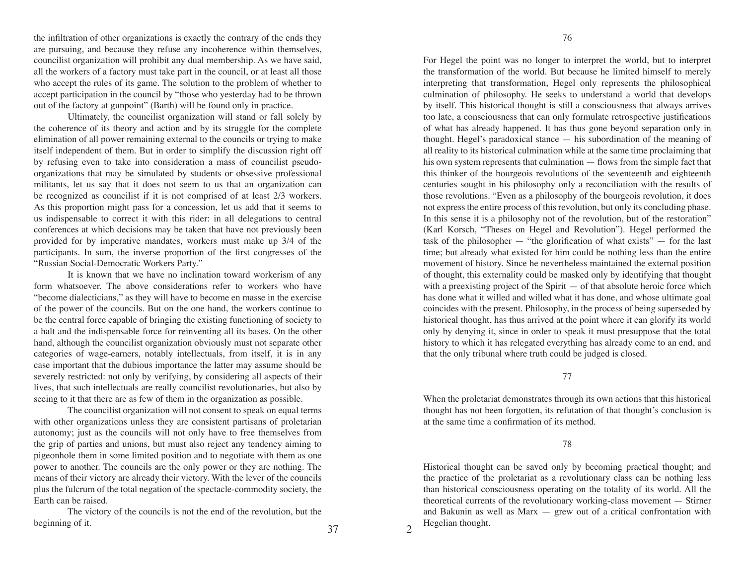the infiltration of other organizations is exactly the contrary of the ends they are pursuing, and because they refuse any incoherence within themselves, councilist organization will prohibit any dual membership. As we have said, all the workers of a factory must take part in the council, or at least all those who accept the rules of its game. The solution to the problem of whether to accept participation in the council by "those who yesterday had to be thrown out of the factory at gunpoint" (Barth) will be found only in practice.

Ultimately, the councilist organization will stand or fall solely by the coherence of its theory and action and by its struggle for the complete elimination of all power remaining external to the councils or trying to make itself independent of them. But in order to simplify the discussion right off by refusing even to take into consideration a mass of councilist pseudoorganizations that may be simulated by students or obsessive professional militants, let us say that it does not seem to us that an organization can be recognized as councilist if it is not comprised of at least 2/3 workers. As this proportion might pass for a concession, let us add that it seems to us indispensable to correct it with this rider: in all delegations to central conferences at which decisions may be taken that have not previously been provided for by imperative mandates, workers must make up 3/4 of the participants. In sum, the inverse proportion of the first congresses of the "Russian Social-Democratic Workers Party."

It is known that we have no inclination toward workerism of any form whatsoever. The above considerations refer to workers who have "become dialecticians," as they will have to become en masse in the exercise of the power of the councils. But on the one hand, the workers continue to be the central force capable of bringing the existing functioning of society to a halt and the indispensable force for reinventing all its bases. On the other hand, although the councilist organization obviously must not separate other categories of wage-earners, notably intellectuals, from itself, it is in any case important that the dubious importance the latter may assume should be severely restricted: not only by verifying, by considering all aspects of their lives, that such intellectuals are really councilist revolutionaries, but also by seeing to it that there are as few of them in the organization as possible.

The councilist organization will not consent to speak on equal terms with other organizations unless they are consistent partisans of proletarian autonomy; just as the councils will not only have to free themselves from the grip of parties and unions, but must also reject any tendency aiming to pigeonhole them in some limited position and to negotiate with them as one power to another. The councils are the only power or they are nothing. The means of their victory are already their victory. With the lever of the councils plus the fulcrum of the total negation of the spectacle-commodity society, the Earth can be raised.

The victory of the councils is not the end of the revolution, but the beginning of it.  $37$  2

For Hegel the point was no longer to interpret the world, but to interpret the transformation of the world. But because he limited himself to merely interpreting that transformation, Hegel only represents the philosophical culmination of philosophy. He seeks to understand a world that develops by itself. This historical thought is still a consciousness that always arrives too late, a consciousness that can only formulate retrospective justifications of what has already happened. It has thus gone beyond separation only in thought. Hegel's paradoxical stance — his subordination of the meaning of all reality to its historical culmination while at the same time proclaiming that his own system represents that culmination  $-$  flows from the simple fact that this thinker of the bourgeois revolutions of the seventeenth and eighteenth centuries sought in his philosophy only a reconciliation with the results of those revolutions. "Even as a philosophy of the bourgeois revolution, it does not express the entire process of this revolution, but only its concluding phase. In this sense it is a philosophy not of the revolution, but of the restoration" (Karl Korsch, "Theses on Hegel and Revolution"). Hegel performed the task of the philosopher  $-$  "the glorification of what exists"  $-$  for the last time; but already what existed for him could be nothing less than the entire movement of history. Since he nevertheless maintained the external position of thought, this externality could be masked only by identifying that thought with a preexisting project of the Spirit — of that absolute heroic force which has done what it willed and willed what it has done, and whose ultimate goal coincides with the present. Philosophy, in the process of being superseded by historical thought, has thus arrived at the point where it can glorify its world only by denying it, since in order to speak it must presuppose that the total history to which it has relegated everything has already come to an end, and that the only tribunal where truth could be judged is closed.

#### 77

When the proletariat demonstrates through its own actions that this historical thought has not been forgotten, its refutation of that thought's conclusion is at the same time a confirmation of its method.

#### 78

Historical thought can be saved only by becoming practical thought; and the practice of the proletariat as a revolutionary class can be nothing less than historical consciousness operating on the totality of its world. All the theoretical currents of the revolutionary working-class movement — Stirner and Bakunin as well as Marx — grew out of a critical confrontation with Hegelian thought.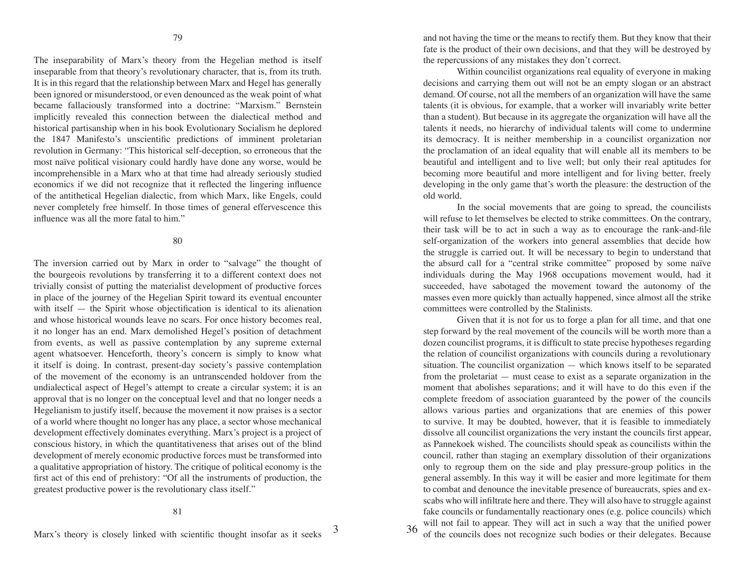The inseparability of Marx's theory from the Hegelian method is itself inseparable from that theory's revolutionary character, that is, from its truth. It is in this regard that the relationship between Marx and Hegel has generally been ignored or misunderstood, or even denounced as the weak point of what became fallaciously transformed into a doctrine: "Marxism." Bernstein implicitly revealed this connection between the dialectical method and historical partisanship when in his book Evolutionary Socialism he deplored the 1847 Manifesto's unscientific predictions of imminent proletarian revolution in Germany: "This historical self-deception, so erroneous that the most naïve political visionary could hardly have done any worse, would be incomprehensible in a Marx who at that time had already seriously studied economics if we did not recognize that it reflected the lingering influence of the antithetical Hegelian dialectic, from which Marx, like Engels, could never completely free himself. In those times of general effervescence this influence was all the more fatal to him."

#### 80

The inversion carried out by Marx in order to "salvage" the thought of the bourgeois revolutions by transferring it to a different context does not trivially consist of putting the materialist development of productive forces in place of the journey of the Hegelian Spirit toward its eventual encounter with itself  $-$  the Spirit whose objectification is identical to its alienation and whose historical wounds leave no scars. For once history becomes real, it no longer has an end. Marx demolished Hegel's position of detachment from events, as well as passive contemplation by any supreme external agent whatsoever. Henceforth, theory's concern is simply to know what it itself is doing. In contrast, present-day society's passive contemplation of the movement of the economy is an untranscended holdover from the undialectical aspect of Hegel's attempt to create a circular system; it is an approval that is no longer on the conceptual level and that no longer needs a Hegelianism to justify itself, because the movement it now praises is a sector of a world where thought no longer has any place, a sector whose mechanical development effectively dominates everything. Marx's project is a project of conscious history, in which the quantitativeness that arises out of the blind development of merely economic productive forces must be transformed into a qualitative appropriation of history. The critique of political economy is the first act of this end of prehistory: "Of all the instruments of production, the greatest productive power is the revolutionary class itself."

Marx's theory is closely linked with scientific thought insofar as it seeks

and not having the time or the means to rectify them. But they know that their fate is the product of their own decisions, and that they will be destroyed by the repercussions of any mistakes they don't correct.

Within councilist organizations real equality of everyone in making decisions and carrying them out will not be an empty slogan or an abstract demand. Of course, not all the members of an organization will have the same talents (it is obvious, for example, that a worker will invariably write better than a student). But because in its aggregate the organization will have all the talents it needs, no hierarchy of individual talents will come to undermine its democracy. It is neither membership in a councilist organization nor the proclamation of an ideal equality that will enable all its members to be beautiful and intelligent and to live well; but only their real aptitudes for becoming more beautiful and more intelligent and for living better, freely developing in the only game that's worth the pleasure: the destruction of the old world.

In the social movements that are going to spread, the councilists will refuse to let themselves be elected to strike committees. On the contrary, their task will be to act in such a way as to encourage the rank-and-file self-organization of the workers into general assemblies that decide how the struggle is carried out. It will be necessary to begin to understand that the absurd call for a "central strike committee" proposed by some naïve individuals during the May 1968 occupations movement would, had it succeeded, have sabotaged the movement toward the autonomy of the masses even more quickly than actually happened, since almost all the strike committees were controlled by the Stalinists.

Given that it is not for us to forge a plan for all time, and that one step forward by the real movement of the councils will be worth more than a dozen councilist programs, it is difficult to state precise hypotheses regarding the relation of councilist organizations with councils during a revolutionary situation. The councilist organization — which knows itself to be separated from the proletariat — must cease to exist as a separate organization in the moment that abolishes separations; and it will have to do this even if the complete freedom of association guaranteed by the power of the councils allows various parties and organizations that are enemies of this power to survive. It may be doubted, however, that it is feasible to immediately dissolve all councilist organizations the very instant the councils first appear, as Pannekoek wished. The councilists should speak as councilists within the council, rather than staging an exemplary dissolution of their organizations only to regroup them on the side and play pressure-group politics in the general assembly. In this way it will be easier and more legitimate for them to combat and denounce the inevitable presence of bureaucrats, spies and exscabs who will infiltrate here and there. They will also have to struggle against fake councils or fundamentally reactionary ones (e.g. police councils) which will not fail to appear. They will act in such a way that the unified power 36 of the councils does not recognize such bodies or their delegates. Because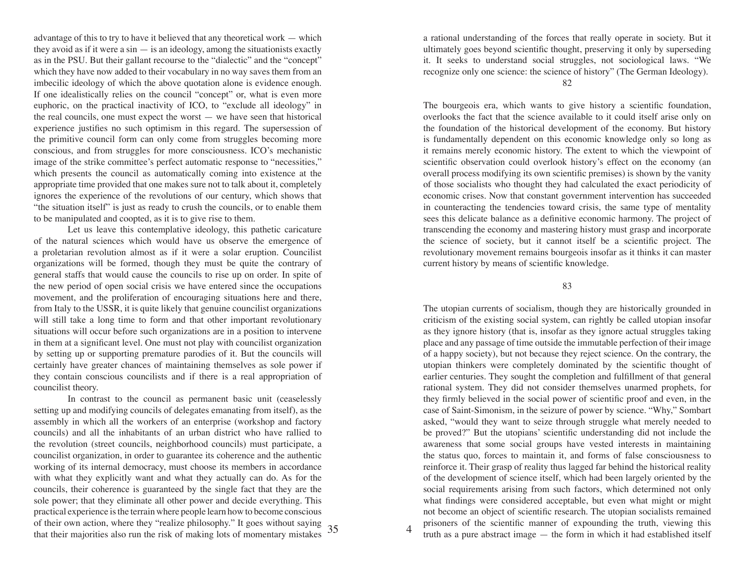advantage of this to try to have it believed that any theoretical work — which they avoid as if it were a  $sin - is$  an ideology, among the situationists exactly as in the PSU. But their gallant recourse to the "dialectic" and the "concept" which they have now added to their vocabulary in no way saves them from an imbecilic ideology of which the above quotation alone is evidence enough. If one idealistically relies on the council "concept" or, what is even more euphoric, on the practical inactivity of ICO, to "exclude all ideology" in the real councils, one must expect the worst — we have seen that historical experience justifies no such optimism in this regard. The supersession of the primitive council form can only come from struggles becoming more conscious, and from struggles for more consciousness. ICO's mechanistic image of the strike committee's perfect automatic response to "necessities," which presents the council as automatically coming into existence at the appropriate time provided that one makes sure not to talk about it, completely ignores the experience of the revolutions of our century, which shows that "the situation itself" is just as ready to crush the councils, or to enable them to be manipulated and coopted, as it is to give rise to them.

Let us leave this contemplative ideology, this pathetic caricature of the natural sciences which would have us observe the emergence of a proletarian revolution almost as if it were a solar eruption. Councilist organizations will be formed, though they must be quite the contrary of general staffs that would cause the councils to rise up on order. In spite of the new period of open social crisis we have entered since the occupations movement, and the proliferation of encouraging situations here and there, from Italy to the USSR, it is quite likely that genuine councilist organizations will still take a long time to form and that other important revolutionary situations will occur before such organizations are in a position to intervene in them at a significant level. One must not play with councilist organization by setting up or supporting premature parodies of it. But the councils will certainly have greater chances of maintaining themselves as sole power if they contain conscious councilists and if there is a real appropriation of councilist theory.

In contrast to the council as permanent basic unit (ceaselessly setting up and modifying councils of delegates emanating from itself), as the assembly in which all the workers of an enterprise (workshop and factory councils) and all the inhabitants of an urban district who have rallied to the revolution (street councils, neighborhood councils) must participate, a councilist organization, in order to guarantee its coherence and the authentic working of its internal democracy, must choose its members in accordance with what they explicitly want and what they actually can do. As for the councils, their coherence is guaranteed by the single fact that they are the sole power; that they eliminate all other power and decide everything. This practical experience is the terrain where people learn how to become conscious of their own action, where they "realize philosophy." It goes without saying that their majorities also run the risk of making lots of momentary mistakes

a rational understanding of the forces that really operate in society. But it ultimately goes beyond scientific thought, preserving it only by superseding it. It seeks to understand social struggles, not sociological laws. "We recognize only one science: the science of history" (The German Ideology).

#### 82

The bourgeois era, which wants to give history a scientific foundation, overlooks the fact that the science available to it could itself arise only on the foundation of the historical development of the economy. But history is fundamentally dependent on this economic knowledge only so long as it remains merely economic history. The extent to which the viewpoint of scientific observation could overlook history's effect on the economy (an overall process modifying its own scientific premises) is shown by the vanity of those socialists who thought they had calculated the exact periodicity of economic crises. Now that constant government intervention has succeeded in counteracting the tendencies toward crisis, the same type of mentality sees this delicate balance as a definitive economic harmony. The project of transcending the economy and mastering history must grasp and incorporate the science of society, but it cannot itself be a scientific project. The revolutionary movement remains bourgeois insofar as it thinks it can master current history by means of scientific knowledge.

#### 83

The utopian currents of socialism, though they are historically grounded in criticism of the existing social system, can rightly be called utopian insofar as they ignore history (that is, insofar as they ignore actual struggles taking place and any passage of time outside the immutable perfection of their image of a happy society), but not because they reject science. On the contrary, the utopian thinkers were completely dominated by the scientific thought of earlier centuries. They sought the completion and fulfillment of that general rational system. They did not consider themselves unarmed prophets, for they firmly believed in the social power of scientific proof and even, in the case of Saint-Simonism, in the seizure of power by science. "Why," Sombart asked, "would they want to seize through struggle what merely needed to be proved?" But the utopians' scientific understanding did not include the awareness that some social groups have vested interests in maintaining the status quo, forces to maintain it, and forms of false consciousness to reinforce it. Their grasp of reality thus lagged far behind the historical reality of the development of science itself, which had been largely oriented by the social requirements arising from such factors, which determined not only what findings were considered acceptable, but even what might or might not become an object of scientific research. The utopian socialists remained prisoners of the scientific manner of expounding the truth, viewing this truth as a pure abstract image — the form in which it had established itself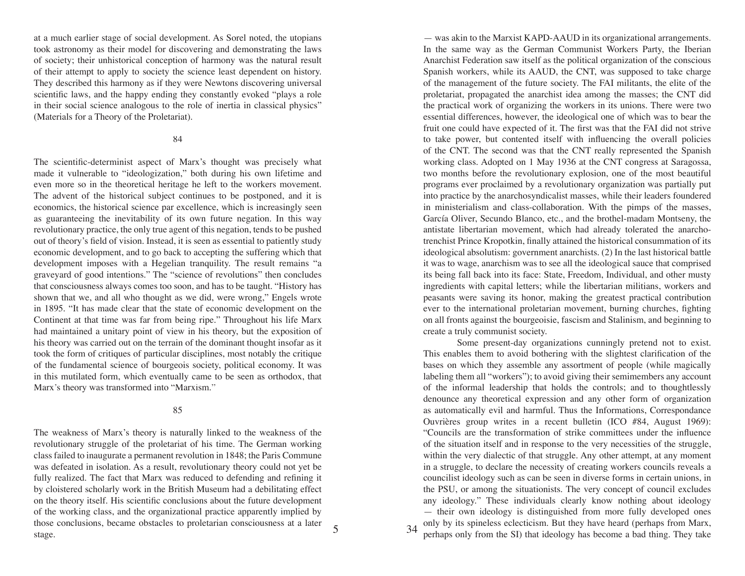at a much earlier stage of social development. As Sorel noted, the utopians took astronomy as their model for discovering and demonstrating the laws of society; their unhistorical conception of harmony was the natural result of their attempt to apply to society the science least dependent on history. They described this harmony as if they were Newtons discovering universal scientific laws, and the happy ending they constantly evoked "plays a role in their social science analogous to the role of inertia in classical physics" (Materials for a Theory of the Proletariat).

#### 84

The scientific-determinist aspect of Marx's thought was precisely what made it vulnerable to "ideologization," both during his own lifetime and even more so in the theoretical heritage he left to the workers movement. The advent of the historical subject continues to be postponed, and it is economics, the historical science par excellence, which is increasingly seen as guaranteeing the inevitability of its own future negation. In this way revolutionary practice, the only true agent of this negation, tends to be pushed out of theory's field of vision. Instead, it is seen as essential to patiently study economic development, and to go back to accepting the suffering which that development imposes with a Hegelian tranquility. The result remains "a graveyard of good intentions." The "science of revolutions" then concludes that consciousness always comes too soon, and has to be taught. "History has shown that we, and all who thought as we did, were wrong," Engels wrote in 1895. "It has made clear that the state of economic development on the Continent at that time was far from being ripe." Throughout his life Marx had maintained a unitary point of view in his theory, but the exposition of his theory was carried out on the terrain of the dominant thought insofar as it took the form of critiques of particular disciplines, most notably the critique of the fundamental science of bourgeois society, political economy. It was in this mutilated form, which eventually came to be seen as orthodox, that Marx's theory was transformed into "Marxism."

#### 85

The weakness of Marx's theory is naturally linked to the weakness of the revolutionary struggle of the proletariat of his time. The German working class failed to inaugurate a permanent revolution in 1848; the Paris Commune was defeated in isolation. As a result, revolutionary theory could not yet be fully realized. The fact that Marx was reduced to defending and refining it by cloistered scholarly work in the British Museum had a debilitating effect on the theory itself. His scientific conclusions about the future development of the working class, and the organizational practice apparently implied by those conclusions, became obstacles to proletarian consciousness at a later stage.

— was akin to the Marxist KAPD-AAUD in its organizational arrangements. In the same way as the German Communist Workers Party, the Iberian Anarchist Federation saw itself as the political organization of the conscious Spanish workers, while its AAUD, the CNT, was supposed to take charge of the management of the future society. The FAI militants, the elite of the proletariat, propagated the anarchist idea among the masses; the CNT did the practical work of organizing the workers in its unions. There were two essential differences, however, the ideological one of which was to bear the fruit one could have expected of it. The first was that the FAI did not strive to take power, but contented itself with influencing the overall policies of the CNT. The second was that the CNT really represented the Spanish working class. Adopted on 1 May 1936 at the CNT congress at Saragossa, two months before the revolutionary explosion, one of the most beautiful programs ever proclaimed by a revolutionary organization was partially put into practice by the anarchosyndicalist masses, while their leaders foundered in ministerialism and class-collaboration. With the pimps of the masses, García Oliver, Secundo Blanco, etc., and the brothel-madam Montseny, the antistate libertarian movement, which had already tolerated the anarchotrenchist Prince Kropotkin, finally attained the historical consummation of its ideological absolutism: government anarchists. (2) In the last historical battle it was to wage, anarchism was to see all the ideological sauce that comprised its being fall back into its face: State, Freedom, Individual, and other musty ingredients with capital letters; while the libertarian militians, workers and peasants were saving its honor, making the greatest practical contribution ever to the international proletarian movement, burning churches, fighting on all fronts against the bourgeoisie, fascism and Stalinism, and beginning to create a truly communist society.

Some present-day organizations cunningly pretend not to exist. This enables them to avoid bothering with the slightest clarification of the bases on which they assemble any assortment of people (while magically labeling them all "workers"); to avoid giving their semimembers any account of the informal leadership that holds the controls; and to thoughtlessly denounce any theoretical expression and any other form of organization as automatically evil and harmful. Thus the Informations, Correspondance Ouvrières group writes in a recent bulletin (ICO #84, August 1969): "Councils are the transformation of strike committees under the influence of the situation itself and in response to the very necessities of the struggle, within the very dialectic of that struggle. Any other attempt, at any moment in a struggle, to declare the necessity of creating workers councils reveals a councilist ideology such as can be seen in diverse forms in certain unions, in the PSU, or among the situationists. The very concept of council excludes any ideology." These individuals clearly know nothing about ideology — their own ideology is distinguished from more fully developed ones only by its spineless eclecticism. But they have heard (perhaps from Marx, 5 34 only by its spineress eclecticism. But they have heard (perhaps from Marx, perhaps only from the SI) that ideology has become a bad thing. They take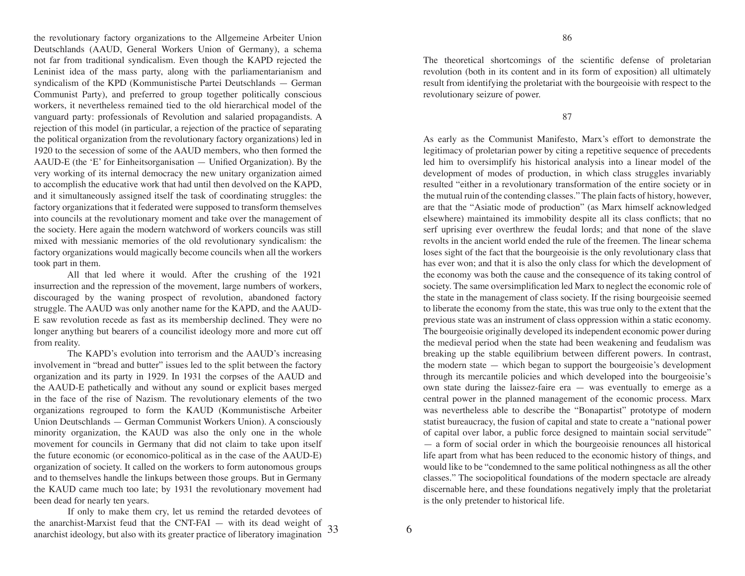the revolutionary factory organizations to the Allgemeine Arbeiter Union Deutschlands (AAUD, General Workers Union of Germany), a schema not far from traditional syndicalism. Even though the KAPD rejected the Leninist idea of the mass party, along with the parliamentarianism and syndicalism of the KPD (Kommunistische Partei Deutschlands — German Communist Party), and preferred to group together politically conscious workers, it nevertheless remained tied to the old hierarchical model of the vanguard party: professionals of Revolution and salaried propagandists. A rejection of this model (in particular, a rejection of the practice of separating the political organization from the revolutionary factory organizations) led in 1920 to the secession of some of the AAUD members, who then formed the AAUD-E (the  $E'$  for Einheitsorganisation  $-$  Unified Organization). By the very working of its internal democracy the new unitary organization aimed to accomplish the educative work that had until then devolved on the KAPD, and it simultaneously assigned itself the task of coordinating struggles: the factory organizations that it federated were supposed to transform themselves into councils at the revolutionary moment and take over the management of the society. Here again the modern watchword of workers councils was still mixed with messianic memories of the old revolutionary syndicalism: the factory organizations would magically become councils when all the workers took part in them.

All that led where it would. After the crushing of the 1921 insurrection and the repression of the movement, large numbers of workers, discouraged by the waning prospect of revolution, abandoned factory struggle. The AAUD was only another name for the KAPD, and the AAUD-E saw revolution recede as fast as its membership declined. They were no longer anything but bearers of a councilist ideology more and more cut off from reality.

The KAPD's evolution into terrorism and the AAUD's increasing involvement in "bread and butter" issues led to the split between the factory organization and its party in 1929. In 1931 the corpses of the AAUD and the AAUD-E pathetically and without any sound or explicit bases merged in the face of the rise of Nazism. The revolutionary elements of the two organizations regrouped to form the KAUD (Kommunistische Arbeiter Union Deutschlands — German Communist Workers Union). A consciously minority organization, the KAUD was also the only one in the whole movement for councils in Germany that did not claim to take upon itself the future economic (or economico-political as in the case of the AAUD-E) organization of society. It called on the workers to form autonomous groups and to themselves handle the linkups between those groups. But in Germany the KAUD came much too late; by 1931 the revolutionary movement had been dead for nearly ten years.

If only to make them cry, let us remind the retarded devotees of the anarchist-Marxist feud that the CNT-FAI — with its dead weight of anarchist ideology, but also with its greater practice of liberatory imagination 33 6

The theoretical shortcomings of the scientific defense of proletarian revolution (both in its content and in its form of exposition) all ultimately result from identifying the proletariat with the bourgeoisie with respect to the revolutionary seizure of power.

87

As early as the Communist Manifesto, Marx's effort to demonstrate the legitimacy of proletarian power by citing a repetitive sequence of precedents led him to oversimplify his historical analysis into a linear model of the development of modes of production, in which class struggles invariably resulted "either in a revolutionary transformation of the entire society or in the mutual ruin of the contending classes." The plain facts of history, however, are that the "Asiatic mode of production" (as Marx himself acknowledged elsewhere) maintained its immobility despite all its class conflicts; that no serf uprising ever overthrew the feudal lords; and that none of the slave revolts in the ancient world ended the rule of the freemen. The linear schema loses sight of the fact that the bourgeoisie is the only revolutionary class that has ever won; and that it is also the only class for which the development of the economy was both the cause and the consequence of its taking control of society. The same oversimplification led Marx to neglect the economic role of the state in the management of class society. If the rising bourgeoisie seemed to liberate the economy from the state, this was true only to the extent that the previous state was an instrument of class oppression within a static economy. The bourgeoisie originally developed its independent economic power during the medieval period when the state had been weakening and feudalism was breaking up the stable equilibrium between different powers. In contrast, the modern state — which began to support the bourgeoisie's development through its mercantile policies and which developed into the bourgeoisie's own state during the laissez-faire era — was eventually to emerge as a central power in the planned management of the economic process. Marx was nevertheless able to describe the "Bonapartist" prototype of modern statist bureaucracy, the fusion of capital and state to create a "national power of capital over labor, a public force designed to maintain social servitude" — a form of social order in which the bourgeoisie renounces all historical life apart from what has been reduced to the economic history of things, and would like to be "condemned to the same political nothingness as all the other classes." The sociopolitical foundations of the modern spectacle are already discernable here, and these foundations negatively imply that the proletariat is the only pretender to historical life.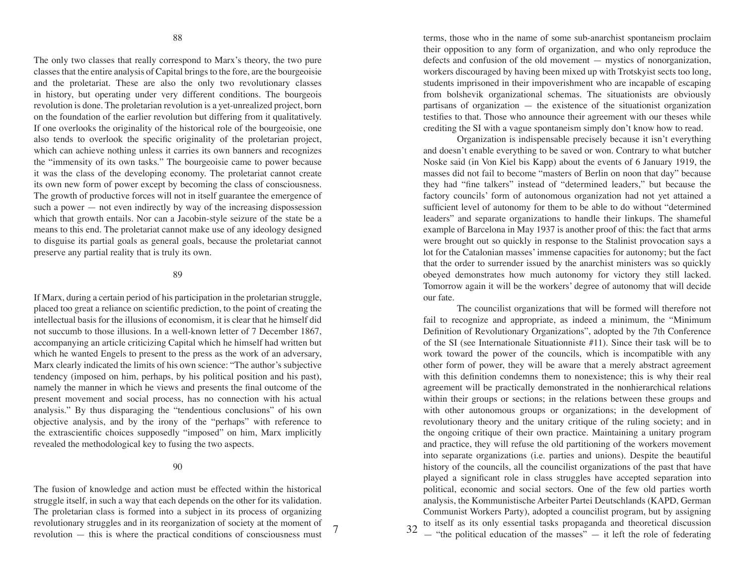The only two classes that really correspond to Marx's theory, the two pure classes that the entire analysis of Capital brings to the fore, are the bourgeoisie and the proletariat. These are also the only two revolutionary classes in history, but operating under very different conditions. The bourgeois revolution is done. The proletarian revolution is a yet-unrealized project, born on the foundation of the earlier revolution but differing from it qualitatively. If one overlooks the originality of the historical role of the bourgeoisie, one also tends to overlook the specific originality of the proletarian project, which can achieve nothing unless it carries its own banners and recognizes the "immensity of its own tasks." The bourgeoisie came to power because it was the class of the developing economy. The proletariat cannot create its own new form of power except by becoming the class of consciousness. The growth of productive forces will not in itself guarantee the emergence of such a power — not even indirectly by way of the increasing dispossession which that growth entails. Nor can a Jacobin-style seizure of the state be a means to this end. The proletariat cannot make use of any ideology designed to disguise its partial goals as general goals, because the proletariat cannot preserve any partial reality that is truly its own.

#### 89

If Marx, during a certain period of his participation in the proletarian struggle, placed too great a reliance on scientific prediction, to the point of creating the intellectual basis for the illusions of economism, it is clear that he himself did not succumb to those illusions. In a well-known letter of 7 December 1867, accompanying an article criticizing Capital which he himself had written but which he wanted Engels to present to the press as the work of an adversary, Marx clearly indicated the limits of his own science: "The author's subjective tendency (imposed on him, perhaps, by his political position and his past), namely the manner in which he views and presents the final outcome of the present movement and social process, has no connection with his actual analysis." By thus disparaging the "tendentious conclusions" of his own objective analysis, and by the irony of the "perhaps" with reference to the extrascientific choices supposedly "imposed" on him, Marx implicitly revealed the methodological key to fusing the two aspects.

#### 90

The fusion of knowledge and action must be effected within the historical struggle itself, in such a way that each depends on the other for its validation. The proletarian class is formed into a subject in its process of organizing revolutionary struggles and in its reorganization of society at the moment of revolution — this is where the practical conditions of consciousness must

terms, those who in the name of some sub-anarchist spontaneism proclaim their opposition to any form of organization, and who only reproduce the defects and confusion of the old movement — mystics of nonorganization, workers discouraged by having been mixed up with Trotskyist sects too long, students imprisoned in their impoverishment who are incapable of escaping from bolshevik organizational schemas. The situationists are obviously partisans of organization — the existence of the situationist organization testifies to that. Those who announce their agreement with our theses while crediting the SI with a vague spontaneism simply don't know how to read.

Organization is indispensable precisely because it isn't everything and doesn't enable everything to be saved or won. Contrary to what butcher Noske said (in Von Kiel bis Kapp) about the events of 6 January 1919, the masses did not fail to become "masters of Berlin on noon that day" because they had "fine talkers" instead of "determined leaders," but because the factory councils' form of autonomous organization had not yet attained a sufficient level of autonomy for them to be able to do without "determined leaders" and separate organizations to handle their linkups. The shameful example of Barcelona in May 1937 is another proof of this: the fact that arms were brought out so quickly in response to the Stalinist provocation says a lot for the Catalonian masses' immense capacities for autonomy; but the fact that the order to surrender issued by the anarchist ministers was so quickly obeyed demonstrates how much autonomy for victory they still lacked. Tomorrow again it will be the workers' degree of autonomy that will decide our fate.

The councilist organizations that will be formed will therefore not fail to recognize and appropriate, as indeed a minimum, the "Minimum Definition of Revolutionary Organizations", adopted by the 7th Conference of the SI (see Internationale Situationniste #11). Since their task will be to work toward the power of the councils, which is incompatible with any other form of power, they will be aware that a merely abstract agreement with this definition condemns them to nonexistence; this is why their real agreement will be practically demonstrated in the nonhierarchical relations within their groups or sections; in the relations between these groups and with other autonomous groups or organizations; in the development of revolutionary theory and the unitary critique of the ruling society; and in the ongoing critique of their own practice. Maintaining a unitary program and practice, they will refuse the old partitioning of the workers movement into separate organizations (i.e. parties and unions). Despite the beautiful history of the councils, all the councilist organizations of the past that have played a significant role in class struggles have accepted separation into political, economic and social sectors. One of the few old parties worth analysis, the Kommunistische Arbeiter Partei Deutschlands (KAPD, German Communist Workers Party), adopted a councilist program, but by assigning to itself as its only essential tasks propaganda and theoretical discussion — "the political education of the masses" — it left the role of federating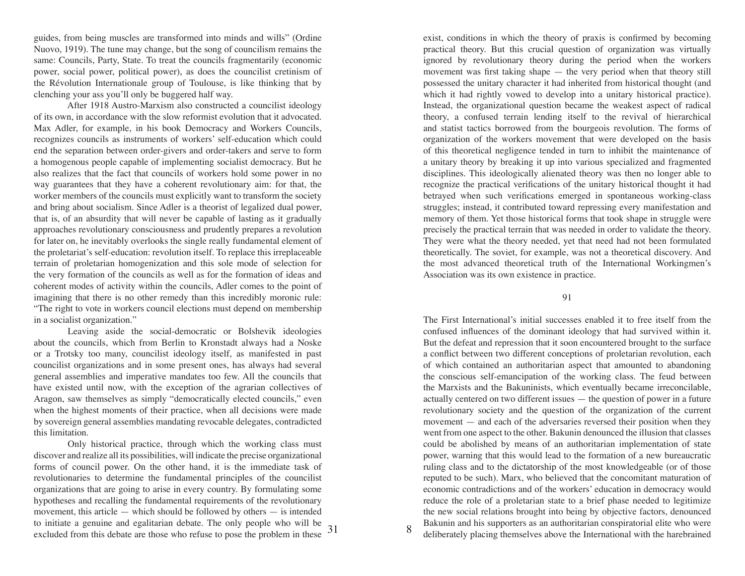guides, from being muscles are transformed into minds and wills" (Ordine Nuovo, 1919). The tune may change, but the song of councilism remains the same: Councils, Party, State. To treat the councils fragmentarily (economic power, social power, political power), as does the councilist cretinism of the Révolution Internationale group of Toulouse, is like thinking that by clenching your ass you'll only be buggered half way.

After 1918 Austro-Marxism also constructed a councilist ideology of its own, in accordance with the slow reformist evolution that it advocated. Max Adler, for example, in his book Democracy and Workers Councils, recognizes councils as instruments of workers' self-education which could end the separation between order-givers and order-takers and serve to form a homogenous people capable of implementing socialist democracy. But he also realizes that the fact that councils of workers hold some power in no way guarantees that they have a coherent revolutionary aim: for that, the worker members of the councils must explicitly want to transform the society and bring about socialism. Since Adler is a theorist of legalized dual power, that is, of an absurdity that will never be capable of lasting as it gradually approaches revolutionary consciousness and prudently prepares a revolution for later on, he inevitably overlooks the single really fundamental element of the proletariat's self-education: revolution itself. To replace this irreplaceable terrain of proletarian homogenization and this sole mode of selection for the very formation of the councils as well as for the formation of ideas and coherent modes of activity within the councils, Adler comes to the point of imagining that there is no other remedy than this incredibly moronic rule: "The right to vote in workers council elections must depend on membership in a socialist organization."

Leaving aside the social-democratic or Bolshevik ideologies about the councils, which from Berlin to Kronstadt always had a Noske or a Trotsky too many, councilist ideology itself, as manifested in past councilist organizations and in some present ones, has always had several general assemblies and imperative mandates too few. All the councils that have existed until now, with the exception of the agrarian collectives of Aragon, saw themselves as simply "democratically elected councils," even when the highest moments of their practice, when all decisions were made by sovereign general assemblies mandating revocable delegates, contradicted this limitation.

Only historical practice, through which the working class must discover and realize all its possibilities, will indicate the precise organizational forms of council power. On the other hand, it is the immediate task of revolutionaries to determine the fundamental principles of the councilist organizations that are going to arise in every country. By formulating some hypotheses and recalling the fundamental requirements of the revolutionary movement, this article — which should be followed by others — is intended to initiate a genuine and egalitarian debate. The only people who will be excluded from this debate are those who refuse to pose the problem in these

exist, conditions in which the theory of praxis is confirmed by becoming practical theory. But this crucial question of organization was virtually ignored by revolutionary theory during the period when the workers movement was first taking shape  $-$  the very period when that theory still possessed the unitary character it had inherited from historical thought (and which it had rightly vowed to develop into a unitary historical practice). Instead, the organizational question became the weakest aspect of radical theory, a confused terrain lending itself to the revival of hierarchical and statist tactics borrowed from the bourgeois revolution. The forms of organization of the workers movement that were developed on the basis of this theoretical negligence tended in turn to inhibit the maintenance of a unitary theory by breaking it up into various specialized and fragmented disciplines. This ideologically alienated theory was then no longer able to recognize the practical verifications of the unitary historical thought it had betrayed when such verifications emerged in spontaneous working-class struggles; instead, it contributed toward repressing every manifestation and memory of them. Yet those historical forms that took shape in struggle were precisely the practical terrain that was needed in order to validate the theory. They were what the theory needed, yet that need had not been formulated theoretically. The soviet, for example, was not a theoretical discovery. And the most advanced theoretical truth of the International Workingmen's Association was its own existence in practice.

91

The First International's initial successes enabled it to free itself from the confused influences of the dominant ideology that had survived within it. But the defeat and repression that it soon encountered brought to the surface a conflict between two different conceptions of proletarian revolution, each of which contained an authoritarian aspect that amounted to abandoning the conscious self-emancipation of the working class. The feud between the Marxists and the Bakuninists, which eventually became irreconcilable, actually centered on two different issues — the question of power in a future revolutionary society and the question of the organization of the current movement — and each of the adversaries reversed their position when they went from one aspect to the other. Bakunin denounced the illusion that classes could be abolished by means of an authoritarian implementation of state power, warning that this would lead to the formation of a new bureaucratic ruling class and to the dictatorship of the most knowledgeable (or of those reputed to be such). Marx, who believed that the concomitant maturation of economic contradictions and of the workers' education in democracy would reduce the role of a proletarian state to a brief phase needed to legitimize the new social relations brought into being by objective factors, denounced Bakunin and his supporters as an authoritarian conspiratorial elite who were deliberately placing themselves above the International with the harebrained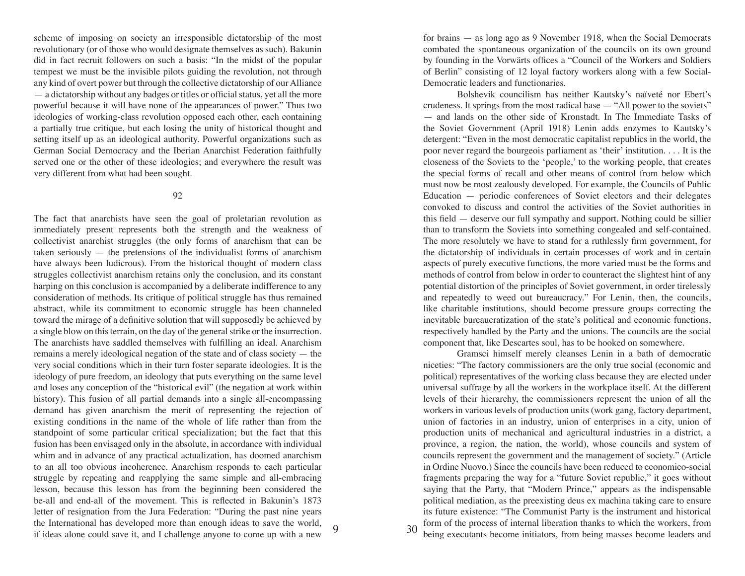scheme of imposing on society an irresponsible dictatorship of the most revolutionary (or of those who would designate themselves as such). Bakunin did in fact recruit followers on such a basis: "In the midst of the popular tempest we must be the invisible pilots guiding the revolution, not through any kind of overt power but through the collective dictatorship of our Alliance — a dictatorship without any badges or titles or official status, yet all the more powerful because it will have none of the appearances of power." Thus two ideologies of working-class revolution opposed each other, each containing a partially true critique, but each losing the unity of historical thought and setting itself up as an ideological authority. Powerful organizations such as German Social Democracy and the Iberian Anarchist Federation faithfully served one or the other of these ideologies; and everywhere the result was very different from what had been sought.

#### 92

The fact that anarchists have seen the goal of proletarian revolution as immediately present represents both the strength and the weakness of collectivist anarchist struggles (the only forms of anarchism that can be taken seriously — the pretensions of the individualist forms of anarchism have always been ludicrous). From the historical thought of modern class struggles collectivist anarchism retains only the conclusion, and its constant harping on this conclusion is accompanied by a deliberate indifference to any consideration of methods. Its critique of political struggle has thus remained abstract, while its commitment to economic struggle has been channeled toward the mirage of a definitive solution that will supposedly be achieved by a single blow on this terrain, on the day of the general strike or the insurrection. The anarchists have saddled themselves with fulfilling an ideal. Anarchism remains a merely ideological negation of the state and of class society — the very social conditions which in their turn foster separate ideologies. It is the ideology of pure freedom, an ideology that puts everything on the same level and loses any conception of the "historical evil" (the negation at work within history). This fusion of all partial demands into a single all-encompassing demand has given anarchism the merit of representing the rejection of existing conditions in the name of the whole of life rather than from the standpoint of some particular critical specialization; but the fact that this fusion has been envisaged only in the absolute, in accordance with individual whim and in advance of any practical actualization, has doomed anarchism to an all too obvious incoherence. Anarchism responds to each particular struggle by repeating and reapplying the same simple and all-embracing lesson, because this lesson has from the beginning been considered the be-all and end-all of the movement. This is reflected in Bakunin's 1873 letter of resignation from the Jura Federation: "During the past nine years the International has developed more than enough ideas to save the world, if ideas alone could save it, and I challenge anyone to come up with a new

for brains — as long ago as 9 November 1918, when the Social Democrats combated the spontaneous organization of the councils on its own ground by founding in the Vorwärts offices a "Council of the Workers and Soldiers" of Berlin" consisting of 12 loyal factory workers along with a few Social-Democratic leaders and functionaries.

Bolshevik councilism has neither Kautsky's naïveté nor Ebert's crudeness. It springs from the most radical base — "All power to the soviets" — and lands on the other side of Kronstadt. In The Immediate Tasks of the Soviet Government (April 1918) Lenin adds enzymes to Kautsky's detergent: "Even in the most democratic capitalist republics in the world, the poor never regard the bourgeois parliament as ʻtheir' institution. . . . It is the closeness of the Soviets to the ʻpeople,' to the working people, that creates the special forms of recall and other means of control from below which must now be most zealously developed. For example, the Councils of Public Education — periodic conferences of Soviet electors and their delegates convoked to discuss and control the activities of the Soviet authorities in this field  $-$  deserve our full sympathy and support. Nothing could be sillier than to transform the Soviets into something congealed and self-contained. The more resolutely we have to stand for a ruthlessly firm government, for the dictatorship of individuals in certain processes of work and in certain aspects of purely executive functions, the more varied must be the forms and methods of control from below in order to counteract the slightest hint of any potential distortion of the principles of Soviet government, in order tirelessly and repeatedly to weed out bureaucracy." For Lenin, then, the councils, like charitable institutions, should become pressure groups correcting the inevitable bureaucratization of the state's political and economic functions, respectively handled by the Party and the unions. The councils are the social component that, like Descartes soul, has to be hooked on somewhere.

Gramsci himself merely cleanses Lenin in a bath of democratic niceties: "The factory commissioners are the only true social (economic and political) representatives of the working class because they are elected under universal suffrage by all the workers in the workplace itself. At the different levels of their hierarchy, the commissioners represent the union of all the workers in various levels of production units (work gang, factory department, union of factories in an industry, union of enterprises in a city, union of production units of mechanical and agricultural industries in a district, a province, a region, the nation, the world), whose councils and system of councils represent the government and the management of society." (Article in Ordine Nuovo.) Since the councils have been reduced to economico-social fragments preparing the way for a "future Soviet republic," it goes without saying that the Party, that "Modern Prince," appears as the indispensable political mediation, as the preexisting deus ex machina taking care to ensure its future existence: "The Communist Party is the instrument and historical form of the process of internal liberation thanks to which the workers, from 30 being executants become initiators, from being masses become leaders and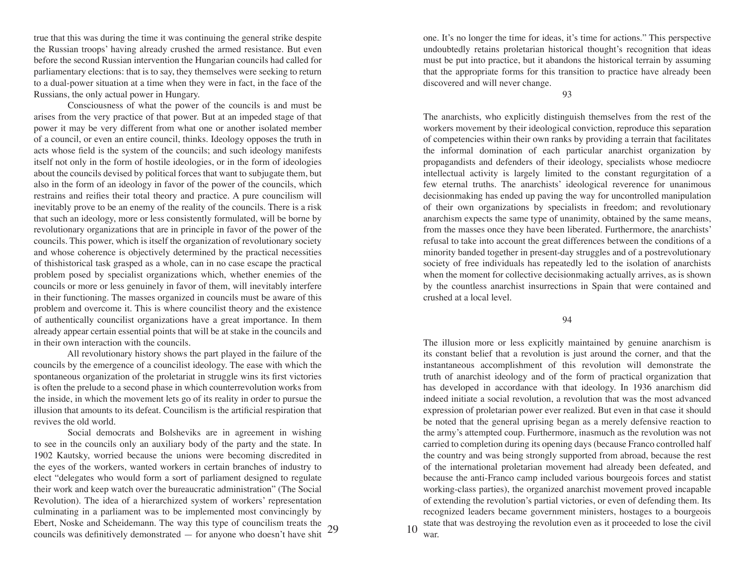true that this was during the time it was continuing the general strike despite the Russian troops' having already crushed the armed resistance. But even before the second Russian intervention the Hungarian councils had called for parliamentary elections: that is to say, they themselves were seeking to return to a dual-power situation at a time when they were in fact, in the face of the Russians, the only actual power in Hungary.

Consciousness of what the power of the councils is and must be arises from the very practice of that power. But at an impeded stage of that power it may be very different from what one or another isolated member of a council, or even an entire council, thinks. Ideology opposes the truth in acts whose field is the system of the councils; and such ideology manifests itself not only in the form of hostile ideologies, or in the form of ideologies about the councils devised by political forces that want to subjugate them, but also in the form of an ideology in favor of the power of the councils, which restrains and reifies their total theory and practice. A pure councilism will inevitably prove to be an enemy of the reality of the councils. There is a risk that such an ideology, more or less consistently formulated, will be borne by revolutionary organizations that are in principle in favor of the power of the councils. This power, which is itself the organization of revolutionary society and whose coherence is objectively determined by the practical necessities of thishistorical task grasped as a whole, can in no case escape the practical problem posed by specialist organizations which, whether enemies of the councils or more or less genuinely in favor of them, will inevitably interfere in their functioning. The masses organized in councils must be aware of this problem and overcome it. This is where councilist theory and the existence of authentically councilist organizations have a great importance. In them already appear certain essential points that will be at stake in the councils and in their own interaction with the councils.

All revolutionary history shows the part played in the failure of the councils by the emergence of a councilist ideology. The ease with which the spontaneous organization of the proletariat in struggle wins its first victories is often the prelude to a second phase in which counterrevolution works from the inside, in which the movement lets go of its reality in order to pursue the illusion that amounts to its defeat. Councilism is the artificial respiration that revives the old world.

Social democrats and Bolsheviks are in agreement in wishing to see in the councils only an auxiliary body of the party and the state. In 1902 Kautsky, worried because the unions were becoming discredited in the eyes of the workers, wanted workers in certain branches of industry to elect "delegates who would form a sort of parliament designed to regulate their work and keep watch over the bureaucratic administration" (The Social Revolution). The idea of a hierarchized system of workers' representation culminating in a parliament was to be implemented most convincingly by Ebert, Noske and Scheidemann. The way this type of councilism treats the councils was definitively demonstrated — for anyone who doesn't have shit  $29$  10

one. It's no longer the time for ideas, it's time for actions." This perspective undoubtedly retains proletarian historical thought's recognition that ideas must be put into practice, but it abandons the historical terrain by assuming that the appropriate forms for this transition to practice have already been discovered and will never change.

#### 93

The anarchists, who explicitly distinguish themselves from the rest of the workers movement by their ideological conviction, reproduce this separation of competencies within their own ranks by providing a terrain that facilitates the informal domination of each particular anarchist organization by propagandists and defenders of their ideology, specialists whose mediocre intellectual activity is largely limited to the constant regurgitation of a few eternal truths. The anarchists' ideological reverence for unanimous decisionmaking has ended up paving the way for uncontrolled manipulation of their own organizations by specialists in freedom; and revolutionary anarchism expects the same type of unanimity, obtained by the same means, from the masses once they have been liberated. Furthermore, the anarchists' refusal to take into account the great differences between the conditions of a minority banded together in present-day struggles and of a postrevolutionary society of free individuals has repeatedly led to the isolation of anarchists when the moment for collective decisionmaking actually arrives, as is shown by the countless anarchist insurrections in Spain that were contained and crushed at a local level.

94

The illusion more or less explicitly maintained by genuine anarchism is its constant belief that a revolution is just around the corner, and that the instantaneous accomplishment of this revolution will demonstrate the truth of anarchist ideology and of the form of practical organization that has developed in accordance with that ideology. In 1936 anarchism did indeed initiate a social revolution, a revolution that was the most advanced expression of proletarian power ever realized. But even in that case it should be noted that the general uprising began as a merely defensive reaction to the army's attempted coup. Furthermore, inasmuch as the revolution was not carried to completion during its opening days (because Franco controlled half the country and was being strongly supported from abroad, because the rest of the international proletarian movement had already been defeated, and because the anti-Franco camp included various bourgeois forces and statist working-class parties), the organized anarchist movement proved incapable of extending the revolution's partial victories, or even of defending them. Its recognized leaders became government ministers, hostages to a bourgeois state that was destroying the revolution even as it proceeded to lose the civil war.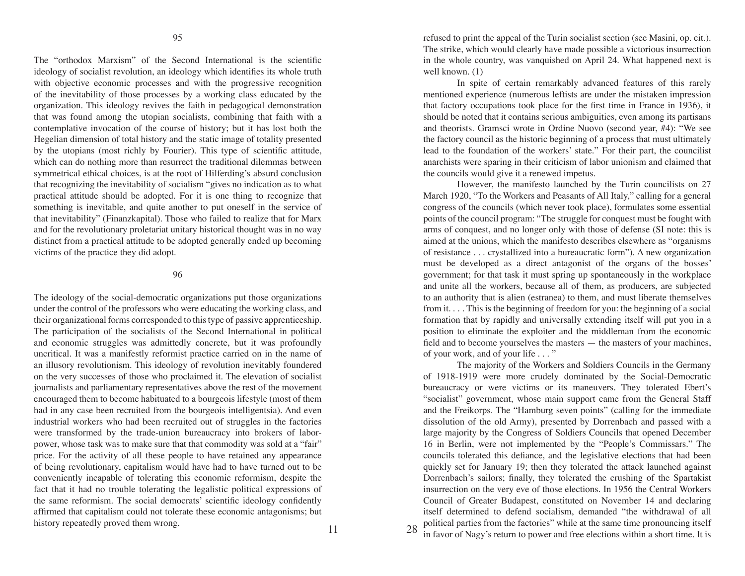The "orthodox Marxism" of the Second International is the scientific ideology of socialist revolution, an ideology which identifies its whole truth with objective economic processes and with the progressive recognition of the inevitability of those processes by a working class educated by the organization. This ideology revives the faith in pedagogical demonstration that was found among the utopian socialists, combining that faith with a contemplative invocation of the course of history; but it has lost both the Hegelian dimension of total history and the static image of totality presented by the utopians (most richly by Fourier). This type of scientific attitude, which can do nothing more than resurrect the traditional dilemmas between symmetrical ethical choices, is at the root of Hilferding's absurd conclusion that recognizing the inevitability of socialism "gives no indication as to what practical attitude should be adopted. For it is one thing to recognize that something is inevitable, and quite another to put oneself in the service of that inevitability" (Finanzkapital). Those who failed to realize that for Marx and for the revolutionary proletariat unitary historical thought was in no way distinct from a practical attitude to be adopted generally ended up becoming victims of the practice they did adopt.

#### 96

The ideology of the social-democratic organizations put those organizations under the control of the professors who were educating the working class, and their organizational forms corresponded to this type of passive apprenticeship. The participation of the socialists of the Second International in political and economic struggles was admittedly concrete, but it was profoundly uncritical. It was a manifestly reformist practice carried on in the name of an illusory revolutionism. This ideology of revolution inevitably foundered on the very successes of those who proclaimed it. The elevation of socialist journalists and parliamentary representatives above the rest of the movement encouraged them to become habituated to a bourgeois lifestyle (most of them had in any case been recruited from the bourgeois intelligentsia). And even industrial workers who had been recruited out of struggles in the factories were transformed by the trade-union bureaucracy into brokers of laborpower, whose task was to make sure that that commodity was sold at a "fair" price. For the activity of all these people to have retained any appearance of being revolutionary, capitalism would have had to have turned out to be conveniently incapable of tolerating this economic reformism, despite the fact that it had no trouble tolerating the legalistic political expressions of the same reformism. The social democrats' scientific ideology confidently affirmed that capitalism could not tolerate these economic antagonisms; but history repeatedly proved them wrong.

refused to print the appeal of the Turin socialist section (see Masini, op. cit.). The strike, which would clearly have made possible a victorious insurrection in the whole country, was vanquished on April 24. What happened next is well known. (1)

In spite of certain remarkably advanced features of this rarely mentioned experience (numerous leftists are under the mistaken impression that factory occupations took place for the first time in France in 1936), it should be noted that it contains serious ambiguities, even among its partisans and theorists. Gramsci wrote in Ordine Nuovo (second year, #4): "We see the factory council as the historic beginning of a process that must ultimately lead to the foundation of the workers' state." For their part, the councilist anarchists were sparing in their criticism of labor unionism and claimed that the councils would give it a renewed impetus.

However, the manifesto launched by the Turin councilists on 27 March 1920, "To the Workers and Peasants of All Italy," calling for a general congress of the councils (which never took place), formulates some essential points of the council program: "The struggle for conquest must be fought with arms of conquest, and no longer only with those of defense (SI note: this is aimed at the unions, which the manifesto describes elsewhere as "organisms of resistance . . . crystallized into a bureaucratic form"). A new organization must be developed as a direct antagonist of the organs of the bosses' government; for that task it must spring up spontaneously in the workplace and unite all the workers, because all of them, as producers, are subjected to an authority that is alien (estranea) to them, and must liberate themselves from it. . . . This is the beginning of freedom for you: the beginning of a social formation that by rapidly and universally extending itself will put you in a position to eliminate the exploiter and the middleman from the economic field and to become yourselves the masters  $-$  the masters of your machines, of your work, and of your life . . . "

The majority of the Workers and Soldiers Councils in the Germany of 1918-1919 were more crudely dominated by the Social-Democratic bureaucracy or were victims or its maneuvers. They tolerated Ebert's "socialist" government, whose main support came from the General Staff and the Freikorps. The "Hamburg seven points" (calling for the immediate dissolution of the old Army), presented by Dorrenbach and passed with a large majority by the Congress of Soldiers Councils that opened December 16 in Berlin, were not implemented by the "People's Commissars." The councils tolerated this defiance, and the legislative elections that had been quickly set for January 19; then they tolerated the attack launched against Dorrenbach's sailors; finally, they tolerated the crushing of the Spartakist insurrection on the very eve of those elections. In 1956 the Central Workers Council of Greater Budapest, constituted on November 14 and declaring itself determined to defend socialism, demanded "the withdrawal of all political parties from the factories" while at the same time pronouncing itself 28 in favor of Nagy's return to power and free elections within a short time. It is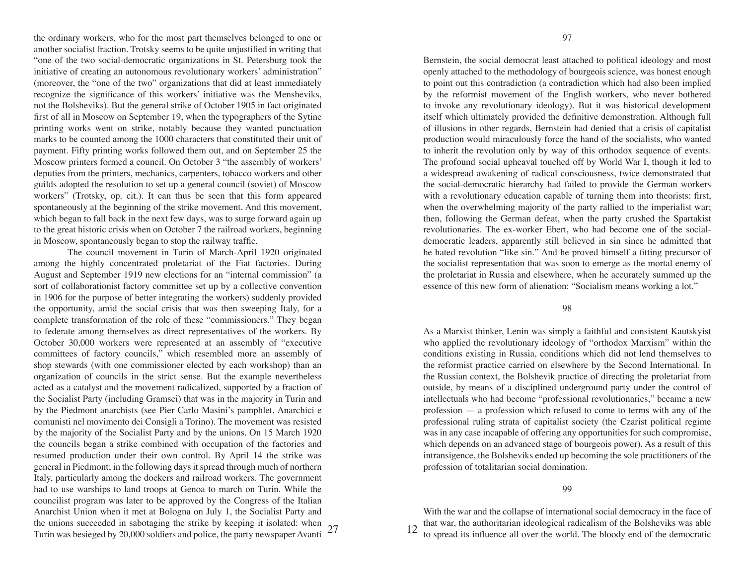the ordinary workers, who for the most part themselves belonged to one or another socialist fraction. Trotsky seems to be quite unjustified in writing that "one of the two social-democratic organizations in St. Petersburg took the initiative of creating an autonomous revolutionary workers' administration" (moreover, the "one of the two" organizations that did at least immediately recognize the significance of this workers' initiative was the Mensheviks, not the Bolsheviks). But the general strike of October 1905 in fact originated first of all in Moscow on September 19, when the typographers of the Sytine printing works went on strike, notably because they wanted punctuation marks to be counted among the 1000 characters that constituted their unit of payment. Fifty printing works followed them out, and on September 25 the Moscow printers formed a council. On October 3 "the assembly of workers' deputies from the printers, mechanics, carpenters, tobacco workers and other guilds adopted the resolution to set up a general council (soviet) of Moscow workers" (Trotsky, op. cit.). It can thus be seen that this form appeared spontaneously at the beginning of the strike movement. And this movement, which began to fall back in the next few days, was to surge forward again up to the great historic crisis when on October 7 the railroad workers, beginning in Moscow, spontaneously began to stop the railway traffic.

The council movement in Turin of March-April 1920 originated among the highly concentrated proletariat of the Fiat factories. During August and September 1919 new elections for an "internal commission" (a sort of collaborationist factory committee set up by a collective convention in 1906 for the purpose of better integrating the workers) suddenly provided the opportunity, amid the social crisis that was then sweeping Italy, for a complete transformation of the role of these "commissioners." They began to federate among themselves as direct representatives of the workers. By October 30,000 workers were represented at an assembly of "executive committees of factory councils," which resembled more an assembly of shop stewards (with one commissioner elected by each workshop) than an organization of councils in the strict sense. But the example nevertheless acted as a catalyst and the movement radicalized, supported by a fraction of the Socialist Party (including Gramsci) that was in the majority in Turin and by the Piedmont anarchists (see Pier Carlo Masini's pamphlet, Anarchici e comunisti nel movimento dei Consigli a Torino). The movement was resisted by the majority of the Socialist Party and by the unions. On 15 March 1920 the councils began a strike combined with occupation of the factories and resumed production under their own control. By April 14 the strike was general in Piedmont; in the following days it spread through much of northern Italy, particularly among the dockers and railroad workers. The government had to use warships to land troops at Genoa to march on Turin. While the councilist program was later to be approved by the Congress of the Italian Anarchist Union when it met at Bologna on July 1, the Socialist Party and the unions succeeded in sabotaging the strike by keeping it isolated: when Turin was besieged by 20,000 soldiers and police, the party newspaper Avanti

Bernstein, the social democrat least attached to political ideology and most openly attached to the methodology of bourgeois science, was honest enough to point out this contradiction (a contradiction which had also been implied by the reformist movement of the English workers, who never bothered to invoke any revolutionary ideology). But it was historical development itself which ultimately provided the definitive demonstration. Although full of illusions in other regards, Bernstein had denied that a crisis of capitalist production would miraculously force the hand of the socialists, who wanted to inherit the revolution only by way of this orthodox sequence of events. The profound social upheaval touched off by World War I, though it led to a widespread awakening of radical consciousness, twice demonstrated that the social-democratic hierarchy had failed to provide the German workers with a revolutionary education capable of turning them into theorists: first, when the overwhelming majority of the party rallied to the imperialist war; then, following the German defeat, when the party crushed the Spartakist revolutionaries. The ex-worker Ebert, who had become one of the socialdemocratic leaders, apparently still believed in sin since he admitted that he hated revolution "like sin." And he proved himself a fitting precursor of the socialist representation that was soon to emerge as the mortal enemy of the proletariat in Russia and elsewhere, when he accurately summed up the essence of this new form of alienation: "Socialism means working a lot."

98

As a Marxist thinker, Lenin was simply a faithful and consistent Kautskyist who applied the revolutionary ideology of "orthodox Marxism" within the conditions existing in Russia, conditions which did not lend themselves to the reformist practice carried on elsewhere by the Second International. In the Russian context, the Bolshevik practice of directing the proletariat from outside, by means of a disciplined underground party under the control of intellectuals who had become "professional revolutionaries," became a new profession — a profession which refused to come to terms with any of the professional ruling strata of capitalist society (the Czarist political regime was in any case incapable of offering any opportunities for such compromise, which depends on an advanced stage of bourgeois power). As a result of this intransigence, the Bolsheviks ended up becoming the sole practitioners of the profession of totalitarian social domination.

99

With the war and the collapse of international social democracy in the face of that war, the authoritarian ideological radicalism of the Bolsheviks was able to spread its influence all over the world. The bloody end of the democratic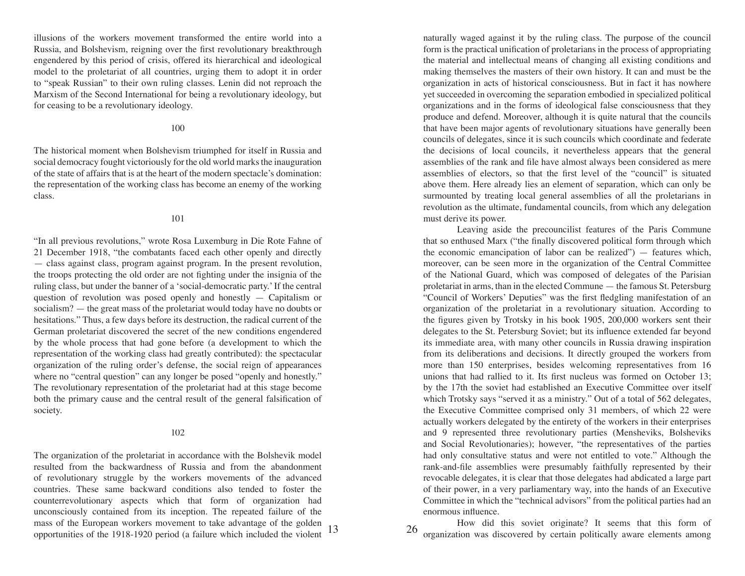illusions of the workers movement transformed the entire world into a Russia, and Bolshevism, reigning over the first revolutionary breakthrough engendered by this period of crisis, offered its hierarchical and ideological model to the proletariat of all countries, urging them to adopt it in order to "speak Russian" to their own ruling classes. Lenin did not reproach the Marxism of the Second International for being a revolutionary ideology, but for ceasing to be a revolutionary ideology.

#### 100

The historical moment when Bolshevism triumphed for itself in Russia and social democracy fought victoriously for the old world marks the inauguration of the state of affairs that is at the heart of the modern spectacle's domination: the representation of the working class has become an enemy of the working class.

#### 101

"In all previous revolutions," wrote Rosa Luxemburg in Die Rote Fahne of 21 December 1918, "the combatants faced each other openly and directly — class against class, program against program. In the present revolution, the troops protecting the old order are not fighting under the insignia of the ruling class, but under the banner of a ʻsocial-democratic party.' If the central question of revolution was posed openly and honestly — Capitalism or socialism? — the great mass of the proletariat would today have no doubts or hesitations." Thus, a few days before its destruction, the radical current of the German proletariat discovered the secret of the new conditions engendered by the whole process that had gone before (a development to which the representation of the working class had greatly contributed): the spectacular organization of the ruling order's defense, the social reign of appearances where no "central question" can any longer be posed "openly and honestly." The revolutionary representation of the proletariat had at this stage become both the primary cause and the central result of the general falsification of society.

#### 102

The organization of the proletariat in accordance with the Bolshevik model resulted from the backwardness of Russia and from the abandonment of revolutionary struggle by the workers movements of the advanced countries. These same backward conditions also tended to foster the counterrevolutionary aspects which that form of organization had unconsciously contained from its inception. The repeated failure of the mass of the European workers movement to take advantage of the golden opportunities of the 1918-1920 period (a failure which included the violent

naturally waged against it by the ruling class. The purpose of the council form is the practical unification of proletarians in the process of appropriating the material and intellectual means of changing all existing conditions and making themselves the masters of their own history. It can and must be the organization in acts of historical consciousness. But in fact it has nowhere yet succeeded in overcoming the separation embodied in specialized political organizations and in the forms of ideological false consciousness that they produce and defend. Moreover, although it is quite natural that the councils that have been major agents of revolutionary situations have generally been councils of delegates, since it is such councils which coordinate and federate the decisions of local councils, it nevertheless appears that the general assemblies of the rank and file have almost always been considered as mere assemblies of electors, so that the first level of the "council" is situated above them. Here already lies an element of separation, which can only be surmounted by treating local general assemblies of all the proletarians in revolution as the ultimate, fundamental councils, from which any delegation must derive its power.

Leaving aside the precouncilist features of the Paris Commune that so enthused Marx ("the finally discovered political form through which the economic emancipation of labor can be realized") — features which, moreover, can be seen more in the organization of the Central Committee of the National Guard, which was composed of delegates of the Parisian proletariat in arms, than in the elected Commune — the famous St. Petersburg "Council of Workers' Deputies" was the first fledgling manifestation of an organization of the proletariat in a revolutionary situation. According to the figures given by Trotsky in his book 1905, 200,000 workers sent their delegates to the St. Petersburg Soviet; but its influence extended far beyond its immediate area, with many other councils in Russia drawing inspiration from its deliberations and decisions. It directly grouped the workers from more than 150 enterprises, besides welcoming representatives from 16 unions that had rallied to it. Its first nucleus was formed on October 13; by the 17th the soviet had established an Executive Committee over itself which Trotsky says "served it as a ministry." Out of a total of 562 delegates, the Executive Committee comprised only 31 members, of which 22 were actually workers delegated by the entirety of the workers in their enterprises and 9 represented three revolutionary parties (Mensheviks, Bolsheviks and Social Revolutionaries); however, "the representatives of the parties had only consultative status and were not entitled to vote." Although the rank-and-file assemblies were presumably faithfully represented by their revocable delegates, it is clear that those delegates had abdicated a large part of their power, in a very parliamentary way, into the hands of an Executive Committee in which the "technical advisors" from the political parties had an enormous influence.

How did this soviet originate? It seems that this form of 26 organization was discovered by certain politically aware elements among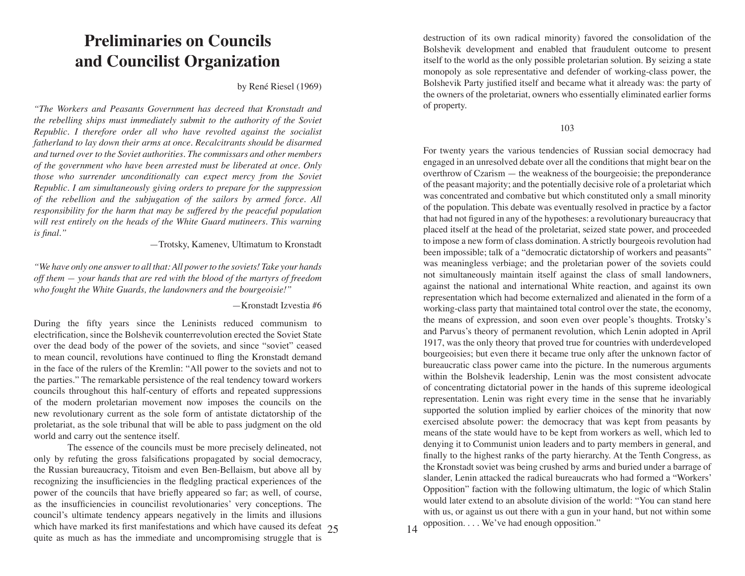## **Preliminaries on Councils and Councilist Organization**

by René Riesel (1969)

*"The Workers and Peasants Government has decreed that Kronstadt and the rebelling ships must immediately submit to the authority of the Soviet Republic. I therefore order all who have revolted against the socialist fatherland to lay down their arms at once. Recalcitrants should be disarmed and turned over to the Soviet authorities. The commissars and other members of the government who have been arrested must be liberated at once. Only those who surrender unconditionally can expect mercy from the Soviet Republic. I am simultaneously giving orders to prepare for the suppression of the rebellion and the subjugation of the sailors by armed force. All responsibility for the harm that may be suffered by the peaceful population will rest entirely on the heads of the White Guard mutineers. This warning is final.*"

—Trotsky, Kamenev, Ultimatum to Kronstadt

*"We have only one answer to all that: All power to the soviets! Take your hands off them — your hands that are red with the blood of the martyrs of freedom who fought the White Guards, the landowners and the bourgeoisie!"* 

—Kronstadt Izvestia #6

During the fifty years since the Leninists reduced communism to electrification, since the Bolshevik counterrevolution erected the Soviet State over the dead body of the power of the soviets, and since "soviet" ceased to mean council, revolutions have continued to fling the Kronstadt demand in the face of the rulers of the Kremlin: "All power to the soviets and not to the parties." The remarkable persistence of the real tendency toward workers councils throughout this half-century of efforts and repeated suppressions of the modern proletarian movement now imposes the councils on the new revolutionary current as the sole form of antistate dictatorship of the proletariat, as the sole tribunal that will be able to pass judgment on the old world and carry out the sentence itself.

The essence of the councils must be more precisely delineated, not only by refuting the gross falsifications propagated by social democracy, the Russian bureaucracy, Titoism and even Ben-Bellaism, but above all by recognizing the insufficiencies in the fledgling practical experiences of the power of the councils that have briefly appeared so far; as well, of course, as the insufficiencies in councilist revolutionaries' very conceptions. The council's ultimate tendency appears negatively in the limits and illusions which have marked its first manifestations and which have caused its defeat  $25$ quite as much as has the immediate and uncompromising struggle that is

destruction of its own radical minority) favored the consolidation of the Bolshevik development and enabled that fraudulent outcome to present itself to the world as the only possible proletarian solution. By seizing a state monopoly as sole representative and defender of working-class power, the Bolshevik Party justified itself and became what it already was: the party of the owners of the proletariat, owners who essentially eliminated earlier forms of property.

#### 103

For twenty years the various tendencies of Russian social democracy had engaged in an unresolved debate over all the conditions that might bear on the overthrow of Czarism — the weakness of the bourgeoisie; the preponderance of the peasant majority; and the potentially decisive role of a proletariat which was concentrated and combative but which constituted only a small minority of the population. This debate was eventually resolved in practice by a factor that had not figured in any of the hypotheses: a revolutionary bureaucracy that placed itself at the head of the proletariat, seized state power, and proceeded to impose a new form of class domination. A strictly bourgeois revolution had been impossible; talk of a "democratic dictatorship of workers and peasants" was meaningless verbiage; and the proletarian power of the soviets could not simultaneously maintain itself against the class of small landowners, against the national and international White reaction, and against its own representation which had become externalized and alienated in the form of a working-class party that maintained total control over the state, the economy, the means of expression, and soon even over people's thoughts. Trotsky's and Parvus's theory of permanent revolution, which Lenin adopted in April 1917, was the only theory that proved true for countries with underdeveloped bourgeoisies; but even there it became true only after the unknown factor of bureaucratic class power came into the picture. In the numerous arguments within the Bolshevik leadership, Lenin was the most consistent advocate of concentrating dictatorial power in the hands of this supreme ideological representation. Lenin was right every time in the sense that he invariably supported the solution implied by earlier choices of the minority that now exercised absolute power: the democracy that was kept from peasants by means of the state would have to be kept from workers as well, which led to denying it to Communist union leaders and to party members in general, and finally to the highest ranks of the party hierarchy. At the Tenth Congress, as the Kronstadt soviet was being crushed by arms and buried under a barrage of slander, Lenin attacked the radical bureaucrats who had formed a "Workers' Opposition" faction with the following ultimatum, the logic of which Stalin would later extend to an absolute division of the world: "You can stand here with us, or against us out there with a gun in your hand, but not within some opposition. . . . We've had enough opposition."

25 14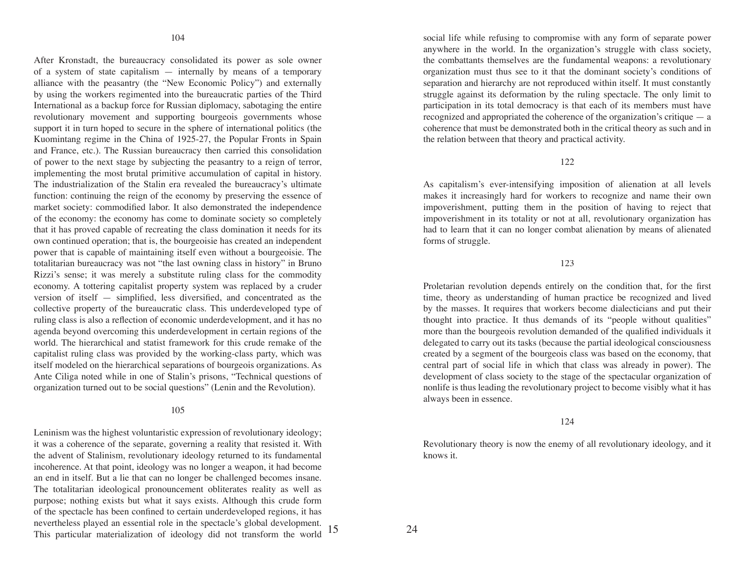After Kronstadt, the bureaucracy consolidated its power as sole owner of a system of state capitalism — internally by means of a temporary alliance with the peasantry (the "New Economic Policy") and externally by using the workers regimented into the bureaucratic parties of the Third International as a backup force for Russian diplomacy, sabotaging the entire revolutionary movement and supporting bourgeois governments whose support it in turn hoped to secure in the sphere of international politics (the Kuomintang regime in the China of 1925-27, the Popular Fronts in Spain and France, etc.). The Russian bureaucracy then carried this consolidation of power to the next stage by subjecting the peasantry to a reign of terror, implementing the most brutal primitive accumulation of capital in history. The industrialization of the Stalin era revealed the bureaucracy's ultimate function: continuing the reign of the economy by preserving the essence of market society: commodified labor. It also demonstrated the independence of the economy: the economy has come to dominate society so completely that it has proved capable of recreating the class domination it needs for its own continued operation; that is, the bourgeoisie has created an independent power that is capable of maintaining itself even without a bourgeoisie. The totalitarian bureaucracy was not "the last owning class in history" in Bruno Rizzi's sense; it was merely a substitute ruling class for the commodity economy. A tottering capitalist property system was replaced by a cruder version of itself  $-$  simplified, less diversified, and concentrated as the collective property of the bureaucratic class. This underdeveloped type of ruling class is also a reflection of economic underdevelopment, and it has no agenda beyond overcoming this underdevelopment in certain regions of the world. The hierarchical and statist framework for this crude remake of the capitalist ruling class was provided by the working-class party, which was itself modeled on the hierarchical separations of bourgeois organizations. As Ante Ciliga noted while in one of Stalin's prisons, "Technical questions of organization turned out to be social questions" (Lenin and the Revolution).

105

Leninism was the highest voluntaristic expression of revolutionary ideology; it was a coherence of the separate, governing a reality that resisted it. With the advent of Stalinism, revolutionary ideology returned to its fundamental incoherence. At that point, ideology was no longer a weapon, it had become an end in itself. But a lie that can no longer be challenged becomes insane. The totalitarian ideological pronouncement obliterates reality as well as purpose; nothing exists but what it says exists. Although this crude form of the spectacle has been confined to certain underdeveloped regions, it has nevertheless played an essential role in the spectacle's global development. This particular materialization of ideology did not transform the world

social life while refusing to compromise with any form of separate power anywhere in the world. In the organization's struggle with class society, the combattants themselves are the fundamental weapons: a revolutionary organization must thus see to it that the dominant society's conditions of separation and hierarchy are not reproduced within itself. It must constantly struggle against its deformation by the ruling spectacle. The only limit to participation in its total democracy is that each of its members must have recognized and appropriated the coherence of the organization's critique — a coherence that must be demonstrated both in the critical theory as such and in the relation between that theory and practical activity.

122

As capitalism's ever-intensifying imposition of alienation at all levels makes it increasingly hard for workers to recognize and name their own impoverishment, putting them in the position of having to reject that impoverishment in its totality or not at all, revolutionary organization has had to learn that it can no longer combat alienation by means of alienated forms of struggle.

123

Proletarian revolution depends entirely on the condition that, for the first time, theory as understanding of human practice be recognized and lived by the masses. It requires that workers become dialecticians and put their thought into practice. It thus demands of its "people without qualities" more than the bourgeois revolution demanded of the qualified individuals it delegated to carry out its tasks (because the partial ideological consciousness created by a segment of the bourgeois class was based on the economy, that central part of social life in which that class was already in power). The development of class society to the stage of the spectacular organization of nonlife is thus leading the revolutionary project to become visibly what it has always been in essence.

#### 124

Revolutionary theory is now the enemy of all revolutionary ideology, and it knows it.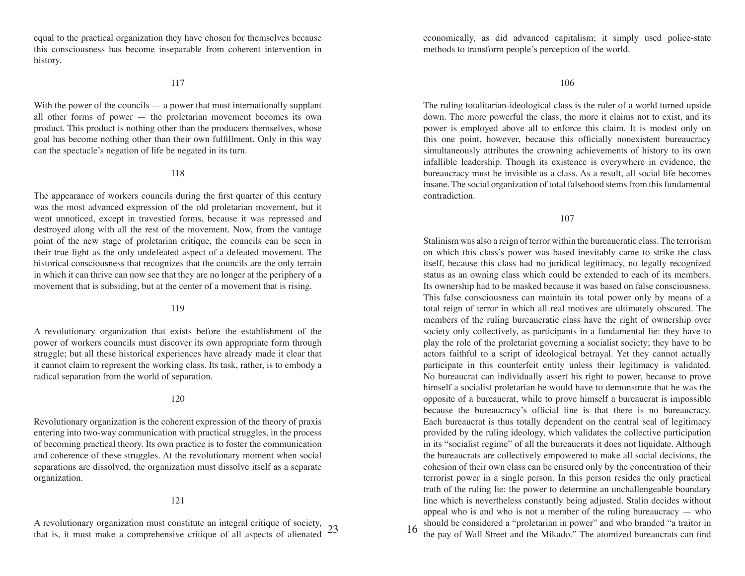equal to the practical organization they have chosen for themselves because this consciousness has become inseparable from coherent intervention in history.

117

With the power of the councils — a power that must internationally supplant all other forms of power — the proletarian movement becomes its own product. This product is nothing other than the producers themselves, whose goal has become nothing other than their own fulfillment. Only in this way can the spectacle's negation of life be negated in its turn.

#### 118

The appearance of workers councils during the first quarter of this century was the most advanced expression of the old proletarian movement, but it went unnoticed, except in travestied forms, because it was repressed and destroyed along with all the rest of the movement. Now, from the vantage point of the new stage of proletarian critique, the councils can be seen in their true light as the only undefeated aspect of a defeated movement. The historical consciousness that recognizes that the councils are the only terrain in which it can thrive can now see that they are no longer at the periphery of a movement that is subsiding, but at the center of a movement that is rising.

#### 119

A revolutionary organization that exists before the establishment of the power of workers councils must discover its own appropriate form through struggle; but all these historical experiences have already made it clear that it cannot claim to represent the working class. Its task, rather, is to embody a radical separation from the world of separation.

#### 120

Revolutionary organization is the coherent expression of the theory of praxis entering into two-way communication with practical struggles, in the process of becoming practical theory. Its own practice is to foster the communication and coherence of these struggles. At the revolutionary moment when social separations are dissolved, the organization must dissolve itself as a separate organization.

#### 121

A revolutionary organization must constitute an integral critique of society, 23 16<br>that is, it must make a comprehensive critique of all aspects of alienated 23

economically, as did advanced capitalism; it simply used police-state methods to transform people's perception of the world.

The ruling totalitarian-ideological class is the ruler of a world turned upside down. The more powerful the class, the more it claims not to exist, and its power is employed above all to enforce this claim. It is modest only on this one point, however, because this officially nonexistent bureaucracy simultaneously attributes the crowning achievements of history to its own infallible leadership. Though its existence is everywhere in evidence, the bureaucracy must be invisible as a class. As a result, all social life becomes insane. The social organization of total falsehood stems from this fundamental contradiction.

107

Stalinism was also a reign of terror within the bureaucratic class. The terrorism on which this class's power was based inevitably came to strike the class itself, because this class had no juridical legitimacy, no legally recognized status as an owning class which could be extended to each of its members. Its ownership had to be masked because it was based on false consciousness. This false consciousness can maintain its total power only by means of a total reign of terror in which all real motives are ultimately obscured. The members of the ruling bureaucratic class have the right of ownership over society only collectively, as participants in a fundamental lie: they have to play the role of the proletariat governing a socialist society; they have to be actors faithful to a script of ideological betrayal. Yet they cannot actually participate in this counterfeit entity unless their legitimacy is validated. No bureaucrat can individually assert his right to power, because to prove himself a socialist proletarian he would have to demonstrate that he was the opposite of a bureaucrat, while to prove himself a bureaucrat is impossible because the bureaucracy's official line is that there is no bureaucracy. Each bureaucrat is thus totally dependent on the central seal of legitimacy provided by the ruling ideology, which validates the collective participation in its "socialist regime" of all the bureaucrats it does not liquidate. Although the bureaucrats are collectively empowered to make all social decisions, the cohesion of their own class can be ensured only by the concentration of their terrorist power in a single person. In this person resides the only practical truth of the ruling lie: the power to determine an unchallengeable boundary line which is nevertheless constantly being adjusted. Stalin decides without appeal who is and who is not a member of the ruling bureaucracy  $-$  who should be considered a "proletarian in power" and who branded "a traitor in the pay of Wall Street and the Mikado." The atomized bureaucrats can find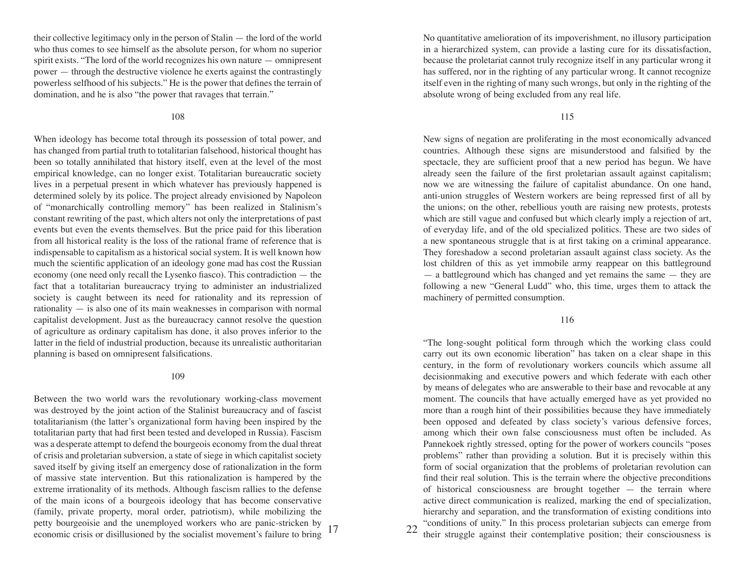their collective legitimacy only in the person of Stalin — the lord of the world who thus comes to see himself as the absolute person, for whom no superior spirit exists. "The lord of the world recognizes his own nature — omnipresent power — through the destructive violence he exerts against the contrastingly powerless selfhood of his subjects." He is the power that defines the terrain of domination, and he is also "the power that ravages that terrain."

#### 108

When ideology has become total through its possession of total power, and has changed from partial truth to totalitarian falsehood, historical thought has been so totally annihilated that history itself, even at the level of the most empirical knowledge, can no longer exist. Totalitarian bureaucratic society lives in a perpetual present in which whatever has previously happened is determined solely by its police. The project already envisioned by Napoleon of "monarchically controlling memory" has been realized in Stalinism's constant rewriting of the past, which alters not only the interpretations of past events but even the events themselves. But the price paid for this liberation from all historical reality is the loss of the rational frame of reference that is indispensable to capitalism as a historical social system. It is well known how much the scientific application of an ideology gone mad has cost the Russian economy (one need only recall the Lysenko fiasco). This contradiction  $-$  the fact that a totalitarian bureaucracy trying to administer an industrialized society is caught between its need for rationality and its repression of rationality — is also one of its main weaknesses in comparison with normal capitalist development. Just as the bureaucracy cannot resolve the question of agriculture as ordinary capitalism has done, it also proves inferior to the latter in the field of industrial production, because its unrealistic authoritarian planning is based on omnipresent falsifications.

#### 109

Between the two world wars the revolutionary working-class movement was destroyed by the joint action of the Stalinist bureaucracy and of fascist totalitarianism (the latter's organizational form having been inspired by the totalitarian party that had first been tested and developed in Russia). Fascism was a desperate attempt to defend the bourgeois economy from the dual threat of crisis and proletarian subversion, a state of siege in which capitalist society saved itself by giving itself an emergency dose of rationalization in the form of massive state intervention. But this rationalization is hampered by the extreme irrationality of its methods. Although fascism rallies to the defense of the main icons of a bourgeois ideology that has become conservative (family, private property, moral order, patriotism), while mobilizing the petty bourgeoisie and the unemployed workers who are panic-stricken by economic crisis or disillusioned by the socialist movement's failure to bring

No quantitative amelioration of its impoverishment, no illusory participation in a hierarchized system, can provide a lasting cure for its dissatisfaction, because the proletariat cannot truly recognize itself in any particular wrong it has suffered, nor in the righting of any particular wrong. It cannot recognize itself even in the righting of many such wrongs, but only in the righting of the absolute wrong of being excluded from any real life.

#### 115

New signs of negation are proliferating in the most economically advanced countries. Although these signs are misunderstood and falsified by the spectacle, they are sufficient proof that a new period has begun. We have already seen the failure of the first proletarian assault against capitalism; now we are witnessing the failure of capitalist abundance. On one hand, anti-union struggles of Western workers are being repressed first of all by the unions; on the other, rebellious youth are raising new protests, protests which are still vague and confused but which clearly imply a rejection of art, of everyday life, and of the old specialized politics. These are two sides of a new spontaneous struggle that is at first taking on a criminal appearance. They foreshadow a second proletarian assault against class society. As the lost children of this as yet immobile army reappear on this battleground — a battleground which has changed and yet remains the same — they are following a new "General Ludd" who, this time, urges them to attack the machinery of permitted consumption.

#### 116

"The long-sought political form through which the working class could carry out its own economic liberation" has taken on a clear shape in this century, in the form of revolutionary workers councils which assume all decisionmaking and executive powers and which federate with each other by means of delegates who are answerable to their base and revocable at any moment. The councils that have actually emerged have as yet provided no more than a rough hint of their possibilities because they have immediately been opposed and defeated by class society's various defensive forces, among which their own false consciousness must often be included. As Pannekoek rightly stressed, opting for the power of workers councils "poses problems" rather than providing a solution. But it is precisely within this form of social organization that the problems of proletarian revolution can find their real solution. This is the terrain where the objective preconditions of historical consciousness are brought together — the terrain where active direct communication is realized, marking the end of specialization, hierarchy and separation, and the transformation of existing conditions into "conditions of unity." In this process proletarian subjects can emerge from their struggle against their contemplative position; their consciousness is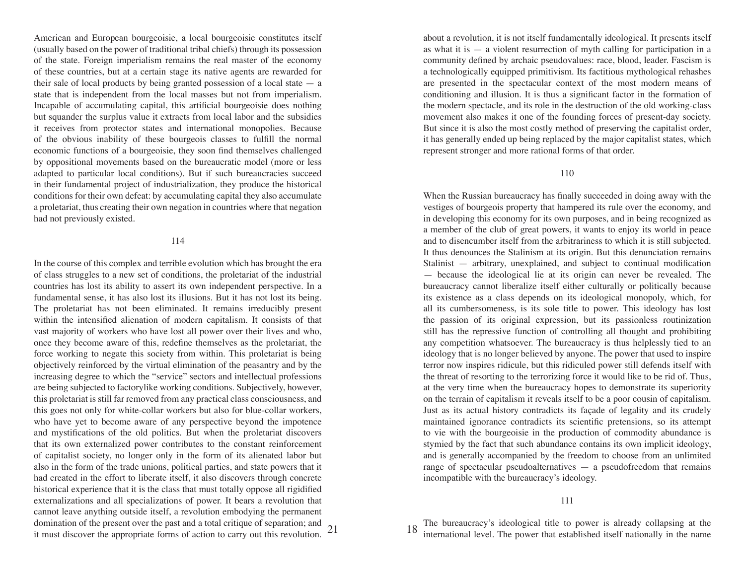American and European bourgeoisie, a local bourgeoisie constitutes itself (usually based on the power of traditional tribal chiefs) through its possession of the state. Foreign imperialism remains the real master of the economy of these countries, but at a certain stage its native agents are rewarded for their sale of local products by being granted possession of a local state  $-$  a state that is independent from the local masses but not from imperialism. Incapable of accumulating capital, this artificial bourgeoisie does nothing but squander the surplus value it extracts from local labor and the subsidies it receives from protector states and international monopolies. Because of the obvious inability of these bourgeois classes to fulfill the normal economic functions of a bourgeoisie, they soon find themselves challenged by oppositional movements based on the bureaucratic model (more or less adapted to particular local conditions). But if such bureaucracies succeed in their fundamental project of industrialization, they produce the historical conditions for their own defeat: by accumulating capital they also accumulate a proletariat, thus creating their own negation in countries where that negation had not previously existed.

#### 114

In the course of this complex and terrible evolution which has brought the era of class struggles to a new set of conditions, the proletariat of the industrial countries has lost its ability to assert its own independent perspective. In a fundamental sense, it has also lost its illusions. But it has not lost its being. The proletariat has not been eliminated. It remains irreducibly present within the intensified alienation of modern capitalism. It consists of that vast majority of workers who have lost all power over their lives and who, once they become aware of this, redefine themselves as the proletariat, the force working to negate this society from within. This proletariat is being objectively reinforced by the virtual elimination of the peasantry and by the increasing degree to which the "service" sectors and intellectual professions are being subjected to factorylike working conditions. Subjectively, however, this proletariat is still far removed from any practical class consciousness, and this goes not only for white-collar workers but also for blue-collar workers, who have yet to become aware of any perspective beyond the impotence and mystifications of the old politics. But when the proletariat discovers that its own externalized power contributes to the constant reinforcement of capitalist society, no longer only in the form of its alienated labor but also in the form of the trade unions, political parties, and state powers that it had created in the effort to liberate itself, it also discovers through concrete historical experience that it is the class that must totally oppose all rigidified externalizations and all specializations of power. It bears a revolution that cannot leave anything outside itself, a revolution embodying the permanent domination of the present over the past and a total critique of separation; and it must discover the appropriate forms of action to carry out this revolution.

about a revolution, it is not itself fundamentally ideological. It presents itself as what it is — a violent resurrection of myth calling for participation in a community defined by archaic pseudovalues: race, blood, leader. Fascism is a technologically equipped primitivism. Its factitious mythological rehashes are presented in the spectacular context of the most modern means of conditioning and illusion. It is thus a significant factor in the formation of the modern spectacle, and its role in the destruction of the old working-class movement also makes it one of the founding forces of present-day society. But since it is also the most costly method of preserving the capitalist order, it has generally ended up being replaced by the major capitalist states, which represent stronger and more rational forms of that order.

#### 110

When the Russian bureaucracy has finally succeeded in doing away with the vestiges of bourgeois property that hampered its rule over the economy, and in developing this economy for its own purposes, and in being recognized as a member of the club of great powers, it wants to enjoy its world in peace and to disencumber itself from the arbitrariness to which it is still subjected. It thus denounces the Stalinism at its origin. But this denunciation remains Stalinist  $-$  arbitrary, unexplained, and subject to continual modification — because the ideological lie at its origin can never be revealed. The bureaucracy cannot liberalize itself either culturally or politically because its existence as a class depends on its ideological monopoly, which, for all its cumbersomeness, is its sole title to power. This ideology has lost the passion of its original expression, but its passionless routinization still has the repressive function of controlling all thought and prohibiting any competition whatsoever. The bureaucracy is thus helplessly tied to an ideology that is no longer believed by anyone. The power that used to inspire terror now inspires ridicule, but this ridiculed power still defends itself with the threat of resorting to the terrorizing force it would like to be rid of. Thus, at the very time when the bureaucracy hopes to demonstrate its superiority on the terrain of capitalism it reveals itself to be a poor cousin of capitalism. Just as its actual history contradicts its façade of legality and its crudely maintained ignorance contradicts its scientific pretensions, so its attempt to vie with the bourgeoisie in the production of commodity abundance is stymied by the fact that such abundance contains its own implicit ideology, and is generally accompanied by the freedom to choose from an unlimited range of spectacular pseudoalternatives — a pseudofreedom that remains incompatible with the bureaucracy's ideology.

#### 111

The bureaucracy's ideological title to power is already collapsing at the international level. The power that established itself nationally in the name